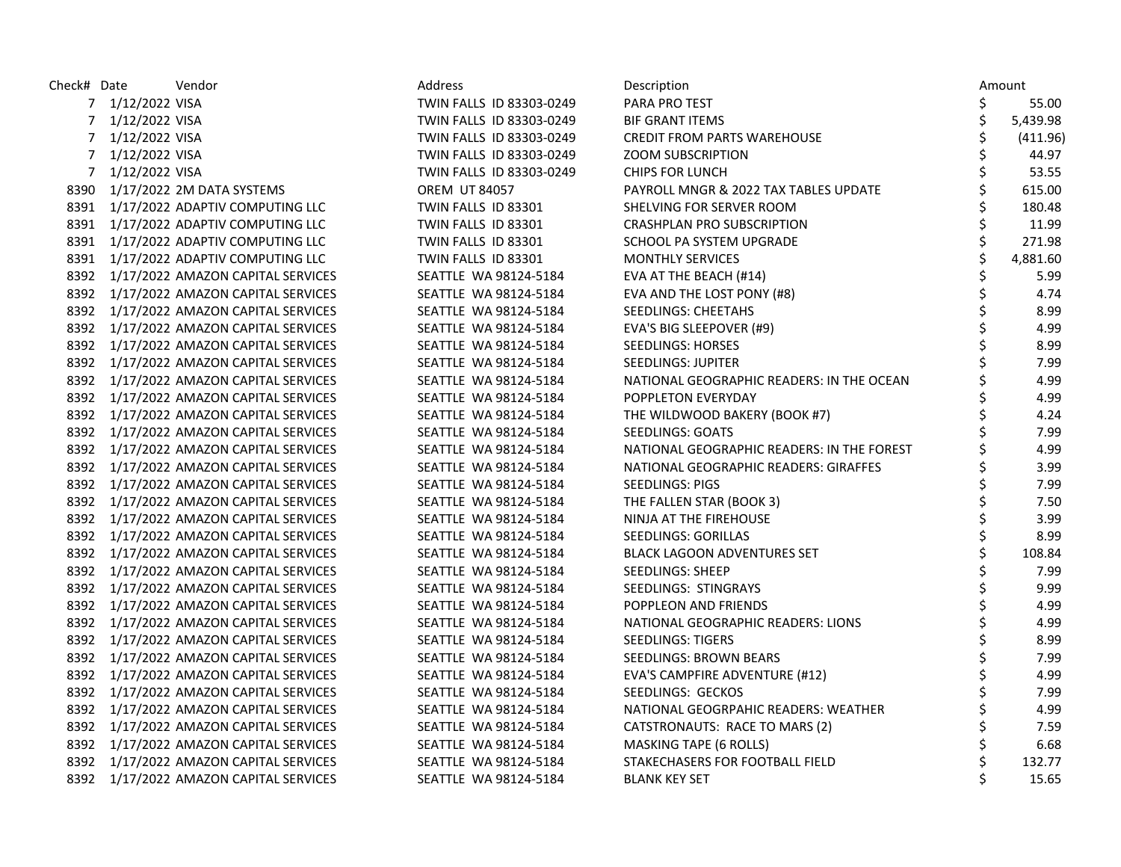| Check# Date |                  | Vendor                                 | Address                  | Description                                | Amount         |
|-------------|------------------|----------------------------------------|--------------------------|--------------------------------------------|----------------|
|             | 7 1/12/2022 VISA |                                        | TWIN FALLS ID 83303-0249 | PARA PRO TEST                              | \$<br>55.00    |
|             | 7 1/12/2022 VISA |                                        | TWIN FALLS ID 83303-0249 | <b>BIF GRANT ITEMS</b>                     | \$<br>5,439.98 |
|             | 7 1/12/2022 VISA |                                        | TWIN FALLS ID 83303-0249 | <b>CREDIT FROM PARTS WAREHOUSE</b>         | \$<br>(411.96) |
|             | 7 1/12/2022 VISA |                                        | TWIN FALLS ID 83303-0249 | <b>ZOOM SUBSCRIPTION</b>                   | \$<br>44.97    |
|             | 7 1/12/2022 VISA |                                        | TWIN FALLS ID 83303-0249 | <b>CHIPS FOR LUNCH</b>                     | \$<br>53.55    |
|             |                  | 8390 1/17/2022 2M DATA SYSTEMS         | <b>OREM UT 84057</b>     | PAYROLL MNGR & 2022 TAX TABLES UPDATE      | \$<br>615.00   |
|             |                  | 8391 1/17/2022 ADAPTIV COMPUTING LLC   | TWIN FALLS ID 83301      | SHELVING FOR SERVER ROOM                   | \$<br>180.48   |
|             |                  | 8391 1/17/2022 ADAPTIV COMPUTING LLC   | TWIN FALLS ID 83301      | <b>CRASHPLAN PRO SUBSCRIPTION</b>          | \$<br>11.99    |
|             |                  | 8391 1/17/2022 ADAPTIV COMPUTING LLC   | TWIN FALLS ID 83301      | SCHOOL PA SYSTEM UPGRADE                   | \$<br>271.98   |
|             |                  | 8391 1/17/2022 ADAPTIV COMPUTING LLC   | TWIN FALLS ID 83301      | <b>MONTHLY SERVICES</b>                    | \$<br>4,881.60 |
|             |                  | 8392 1/17/2022 AMAZON CAPITAL SERVICES | SEATTLE WA 98124-5184    | EVA AT THE BEACH (#14)                     | 5.99           |
|             |                  | 8392 1/17/2022 AMAZON CAPITAL SERVICES | SEATTLE WA 98124-5184    | EVA AND THE LOST PONY (#8)                 | \$<br>4.74     |
|             |                  | 8392 1/17/2022 AMAZON CAPITAL SERVICES | SEATTLE WA 98124-5184    | SEEDLINGS: CHEETAHS                        | \$<br>8.99     |
|             |                  | 8392 1/17/2022 AMAZON CAPITAL SERVICES | SEATTLE WA 98124-5184    | EVA'S BIG SLEEPOVER (#9)                   | \$<br>4.99     |
|             |                  | 8392 1/17/2022 AMAZON CAPITAL SERVICES | SEATTLE WA 98124-5184    | <b>SEEDLINGS: HORSES</b>                   | \$<br>8.99     |
|             |                  | 8392 1/17/2022 AMAZON CAPITAL SERVICES | SEATTLE WA 98124-5184    | <b>SEEDLINGS: JUPITER</b>                  | \$<br>7.99     |
|             |                  | 8392 1/17/2022 AMAZON CAPITAL SERVICES | SEATTLE WA 98124-5184    | NATIONAL GEOGRAPHIC READERS: IN THE OCEAN  | 4.99           |
|             |                  | 8392 1/17/2022 AMAZON CAPITAL SERVICES | SEATTLE WA 98124-5184    | POPPLETON EVERYDAY                         | \$<br>4.99     |
|             |                  | 8392 1/17/2022 AMAZON CAPITAL SERVICES | SEATTLE WA 98124-5184    | THE WILDWOOD BAKERY (BOOK #7)              | \$<br>4.24     |
|             |                  | 8392 1/17/2022 AMAZON CAPITAL SERVICES | SEATTLE WA 98124-5184    | <b>SEEDLINGS: GOATS</b>                    | \$<br>7.99     |
|             |                  | 8392 1/17/2022 AMAZON CAPITAL SERVICES | SEATTLE WA 98124-5184    | NATIONAL GEOGRAPHIC READERS: IN THE FOREST | \$<br>4.99     |
|             |                  | 8392 1/17/2022 AMAZON CAPITAL SERVICES | SEATTLE WA 98124-5184    | NATIONAL GEOGRAPHIC READERS: GIRAFFES      | \$<br>3.99     |
|             |                  | 8392 1/17/2022 AMAZON CAPITAL SERVICES | SEATTLE WA 98124-5184    | <b>SEEDLINGS: PIGS</b>                     | 7.99           |
|             |                  | 8392 1/17/2022 AMAZON CAPITAL SERVICES | SEATTLE WA 98124-5184    | THE FALLEN STAR (BOOK 3)                   | \$<br>7.50     |
|             |                  | 8392 1/17/2022 AMAZON CAPITAL SERVICES | SEATTLE WA 98124-5184    | NINJA AT THE FIREHOUSE                     | \$<br>3.99     |
|             |                  | 8392 1/17/2022 AMAZON CAPITAL SERVICES | SEATTLE WA 98124-5184    | SEEDLINGS: GORILLAS                        | \$<br>8.99     |
|             |                  | 8392 1/17/2022 AMAZON CAPITAL SERVICES | SEATTLE WA 98124-5184    | <b>BLACK LAGOON ADVENTURES SET</b>         | \$<br>108.84   |
|             |                  | 8392 1/17/2022 AMAZON CAPITAL SERVICES | SEATTLE WA 98124-5184    | <b>SEEDLINGS: SHEEP</b>                    | \$<br>7.99     |
|             |                  | 8392 1/17/2022 AMAZON CAPITAL SERVICES | SEATTLE WA 98124-5184    | SEEDLINGS: STINGRAYS                       | \$<br>9.99     |
|             |                  | 8392 1/17/2022 AMAZON CAPITAL SERVICES | SEATTLE WA 98124-5184    | POPPLEON AND FRIENDS                       | \$<br>4.99     |
|             |                  | 8392 1/17/2022 AMAZON CAPITAL SERVICES | SEATTLE WA 98124-5184    | NATIONAL GEOGRAPHIC READERS: LIONS         | \$<br>4.99     |
|             |                  | 8392 1/17/2022 AMAZON CAPITAL SERVICES | SEATTLE WA 98124-5184    | <b>SEEDLINGS: TIGERS</b>                   | \$<br>8.99     |
|             |                  | 8392 1/17/2022 AMAZON CAPITAL SERVICES | SEATTLE WA 98124-5184    | SEEDLINGS: BROWN BEARS                     | \$<br>7.99     |
|             |                  | 8392 1/17/2022 AMAZON CAPITAL SERVICES | SEATTLE WA 98124-5184    | EVA'S CAMPFIRE ADVENTURE (#12)             | \$<br>4.99     |
|             |                  | 8392 1/17/2022 AMAZON CAPITAL SERVICES | SEATTLE WA 98124-5184    | SEEDLINGS: GECKOS                          | \$<br>7.99     |
|             |                  | 8392 1/17/2022 AMAZON CAPITAL SERVICES | SEATTLE WA 98124-5184    | NATIONAL GEOGRPAHIC READERS: WEATHER       | \$<br>4.99     |
|             |                  | 8392 1/17/2022 AMAZON CAPITAL SERVICES | SEATTLE WA 98124-5184    | CATSTRONAUTS: RACE TO MARS (2)             | \$<br>7.59     |
|             |                  | 8392 1/17/2022 AMAZON CAPITAL SERVICES | SEATTLE WA 98124-5184    | <b>MASKING TAPE (6 ROLLS)</b>              | \$<br>6.68     |
|             |                  | 8392 1/17/2022 AMAZON CAPITAL SERVICES | SEATTLE WA 98124-5184    | STAKECHASERS FOR FOOTBALL FIELD            | \$<br>132.77   |
|             |                  | 8392 1/17/2022 AMAZON CAPITAL SERVICES | SEATTLE WA 98124-5184    | <b>BLANK KEY SET</b>                       | \$<br>15.65    |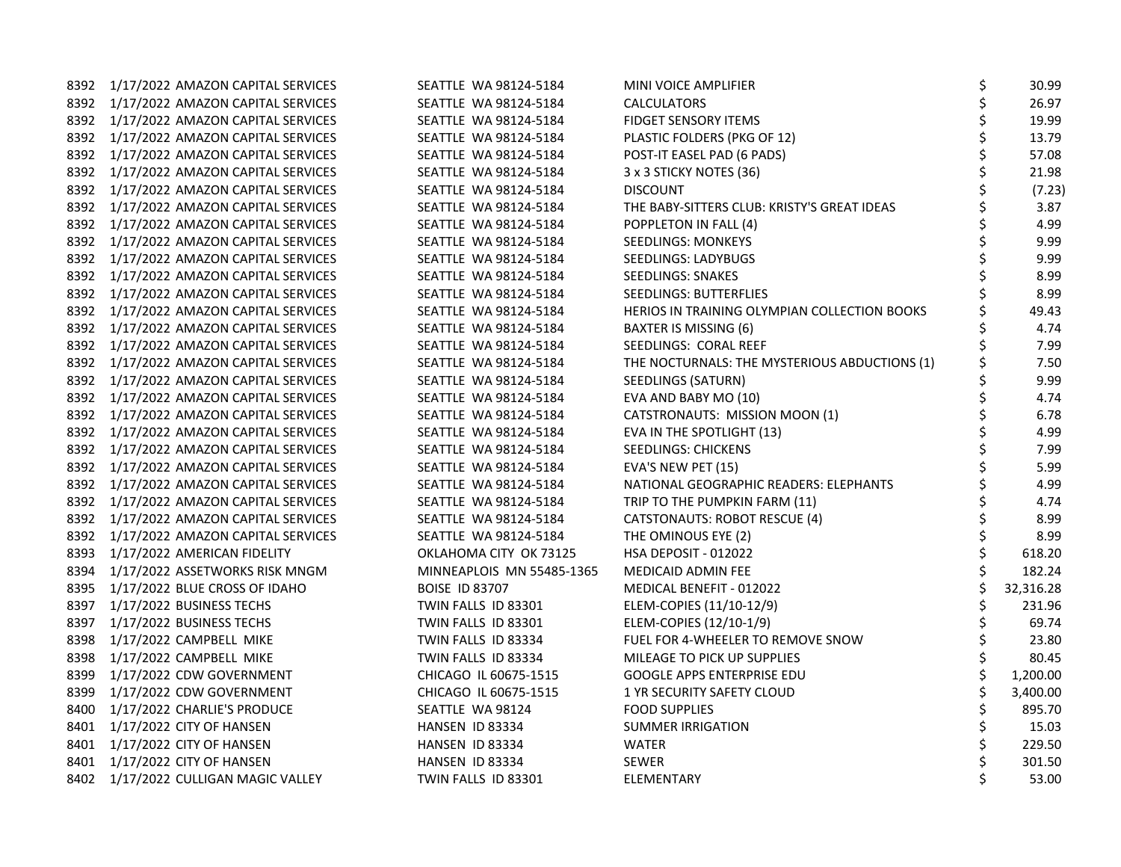|      | 8392 1/17/2022 AMAZON CAPITAL SERVICES | SEATTLE WA 98124-5184     | MINI VOICE AMPLIFIER                          | \$<br>30.99     |
|------|----------------------------------------|---------------------------|-----------------------------------------------|-----------------|
|      | 8392 1/17/2022 AMAZON CAPITAL SERVICES | SEATTLE WA 98124-5184     | <b>CALCULATORS</b>                            | \$<br>26.97     |
|      | 8392 1/17/2022 AMAZON CAPITAL SERVICES | SEATTLE WA 98124-5184     | <b>FIDGET SENSORY ITEMS</b>                   | \$<br>19.99     |
|      | 8392 1/17/2022 AMAZON CAPITAL SERVICES | SEATTLE WA 98124-5184     | PLASTIC FOLDERS (PKG OF 12)                   | \$<br>13.79     |
|      | 8392 1/17/2022 AMAZON CAPITAL SERVICES | SEATTLE WA 98124-5184     | POST-IT EASEL PAD (6 PADS)                    | \$<br>57.08     |
|      | 8392 1/17/2022 AMAZON CAPITAL SERVICES | SEATTLE WA 98124-5184     | 3 x 3 STICKY NOTES (36)                       | \$<br>21.98     |
|      | 8392 1/17/2022 AMAZON CAPITAL SERVICES | SEATTLE WA 98124-5184     | <b>DISCOUNT</b>                               | (7.23)          |
|      | 8392 1/17/2022 AMAZON CAPITAL SERVICES | SEATTLE WA 98124-5184     | THE BABY-SITTERS CLUB: KRISTY'S GREAT IDEAS   | 3.87            |
|      | 8392 1/17/2022 AMAZON CAPITAL SERVICES | SEATTLE WA 98124-5184     | POPPLETON IN FALL (4)                         | 4.99            |
|      | 8392 1/17/2022 AMAZON CAPITAL SERVICES | SEATTLE WA 98124-5184     | SEEDLINGS: MONKEYS                            | \$<br>9.99      |
|      | 8392 1/17/2022 AMAZON CAPITAL SERVICES | SEATTLE WA 98124-5184     | SEEDLINGS: LADYBUGS                           | \$<br>9.99      |
|      | 8392 1/17/2022 AMAZON CAPITAL SERVICES | SEATTLE WA 98124-5184     | <b>SEEDLINGS: SNAKES</b>                      | 8.99            |
|      | 8392 1/17/2022 AMAZON CAPITAL SERVICES | SEATTLE WA 98124-5184     | SEEDLINGS: BUTTERFLIES                        | 8.99            |
|      | 8392 1/17/2022 AMAZON CAPITAL SERVICES | SEATTLE WA 98124-5184     | HERIOS IN TRAINING OLYMPIAN COLLECTION BOOKS  | 49.43           |
|      | 8392 1/17/2022 AMAZON CAPITAL SERVICES | SEATTLE WA 98124-5184     | <b>BAXTER IS MISSING (6)</b>                  | \$<br>4.74      |
|      | 8392 1/17/2022 AMAZON CAPITAL SERVICES | SEATTLE WA 98124-5184     | SEEDLINGS: CORAL REEF                         | \$<br>7.99      |
|      | 8392 1/17/2022 AMAZON CAPITAL SERVICES | SEATTLE WA 98124-5184     | THE NOCTURNALS: THE MYSTERIOUS ABDUCTIONS (1) | \$<br>7.50      |
|      | 8392 1/17/2022 AMAZON CAPITAL SERVICES | SEATTLE WA 98124-5184     | SEEDLINGS (SATURN)                            | \$<br>9.99      |
|      | 8392 1/17/2022 AMAZON CAPITAL SERVICES | SEATTLE WA 98124-5184     | EVA AND BABY MO (10)                          | \$<br>4.74      |
|      | 8392 1/17/2022 AMAZON CAPITAL SERVICES | SEATTLE WA 98124-5184     | CATSTRONAUTS: MISSION MOON (1)                | \$<br>6.78      |
|      | 8392 1/17/2022 AMAZON CAPITAL SERVICES | SEATTLE WA 98124-5184     | EVA IN THE SPOTLIGHT (13)                     | \$<br>4.99      |
|      | 8392 1/17/2022 AMAZON CAPITAL SERVICES | SEATTLE WA 98124-5184     | SEEDLINGS: CHICKENS                           | \$<br>7.99      |
|      | 8392 1/17/2022 AMAZON CAPITAL SERVICES | SEATTLE WA 98124-5184     | EVA'S NEW PET (15)                            | \$<br>5.99      |
|      | 8392 1/17/2022 AMAZON CAPITAL SERVICES | SEATTLE WA 98124-5184     | NATIONAL GEOGRAPHIC READERS: ELEPHANTS        | 4.99            |
|      | 8392 1/17/2022 AMAZON CAPITAL SERVICES | SEATTLE WA 98124-5184     | TRIP TO THE PUMPKIN FARM (11)                 | 4.74            |
|      | 8392 1/17/2022 AMAZON CAPITAL SERVICES | SEATTLE WA 98124-5184     | CATSTONAUTS: ROBOT RESCUE (4)                 | 8.99            |
|      | 8392 1/17/2022 AMAZON CAPITAL SERVICES | SEATTLE WA 98124-5184     | THE OMINOUS EYE (2)                           | \$<br>8.99      |
|      | 8393 1/17/2022 AMERICAN FIDELITY       | OKLAHOMA CITY OK 73125    | HSA DEPOSIT - 012022                          | \$<br>618.20    |
|      | 8394 1/17/2022 ASSETWORKS RISK MNGM    | MINNEAPLOIS MN 55485-1365 | MEDICAID ADMIN FEE                            | \$<br>182.24    |
|      | 8395 1/17/2022 BLUE CROSS OF IDAHO     | <b>BOISE ID 83707</b>     | MEDICAL BENEFIT - 012022                      | \$<br>32,316.28 |
| 8397 | 1/17/2022 BUSINESS TECHS               | TWIN FALLS ID 83301       | ELEM-COPIES (11/10-12/9)                      | \$<br>231.96    |
|      | 8397 1/17/2022 BUSINESS TECHS          | TWIN FALLS ID 83301       | ELEM-COPIES (12/10-1/9)                       | \$<br>69.74     |
| 8398 | 1/17/2022 CAMPBELL MIKE                | TWIN FALLS ID 83334       | FUEL FOR 4-WHEELER TO REMOVE SNOW             | \$<br>23.80     |
|      | 8398 1/17/2022 CAMPBELL MIKE           | TWIN FALLS ID 83334       | MILEAGE TO PICK UP SUPPLIES                   | \$<br>80.45     |
|      | 8399 1/17/2022 CDW GOVERNMENT          | CHICAGO IL 60675-1515     | <b>GOOGLE APPS ENTERPRISE EDU</b>             | 1,200.00        |
| 8399 | 1/17/2022 CDW GOVERNMENT               | CHICAGO IL 60675-1515     | 1 YR SECURITY SAFETY CLOUD                    | 3,400.00        |
| 8400 | 1/17/2022 CHARLIE'S PRODUCE            | SEATTLE WA 98124          | <b>FOOD SUPPLIES</b>                          | \$<br>895.70    |
|      | 8401 1/17/2022 CITY OF HANSEN          | HANSEN ID 83334           | <b>SUMMER IRRIGATION</b>                      | \$<br>15.03     |
|      | 8401 1/17/2022 CITY OF HANSEN          | HANSEN ID 83334           | WATER                                         | \$<br>229.50    |
|      | 8401 1/17/2022 CITY OF HANSEN          | HANSEN ID 83334           | <b>SEWER</b>                                  | \$<br>301.50    |
|      | 8402 1/17/2022 CULLIGAN MAGIC VALLEY   | TWIN FALLS ID 83301       | ELEMENTARY                                    | \$<br>53.00     |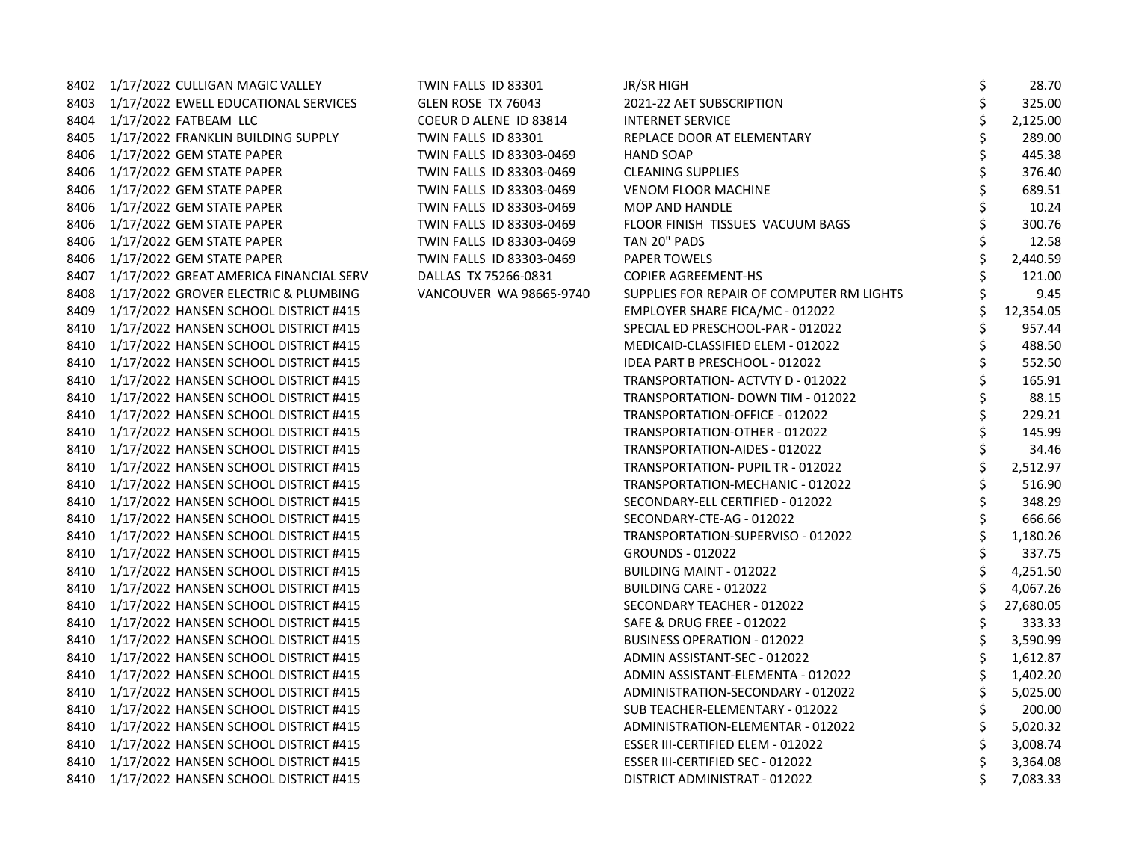|      | 8402 1/17/2022 CULLIGAN MAGIC VALLEY        | TWIN FALLS ID 83301      | JR/SR HIGH                                | \$<br>28.70     |
|------|---------------------------------------------|--------------------------|-------------------------------------------|-----------------|
|      | 8403 1/17/2022 EWELL EDUCATIONAL SERVICES   | GLEN ROSE TX 76043       | 2021-22 AET SUBSCRIPTION                  | \$<br>325.00    |
| 8404 | 1/17/2022 FATBEAM LLC                       | COEUR D ALENE ID 83814   | <b>INTERNET SERVICE</b>                   | \$<br>2,125.00  |
| 8405 | 1/17/2022 FRANKLIN BUILDING SUPPLY          | TWIN FALLS ID 83301      | REPLACE DOOR AT ELEMENTARY                | \$<br>289.00    |
|      | 8406 1/17/2022 GEM STATE PAPER              | TWIN FALLS ID 83303-0469 | <b>HAND SOAP</b>                          | \$<br>445.38    |
|      | 8406 1/17/2022 GEM STATE PAPER              | TWIN FALLS ID 83303-0469 | <b>CLEANING SUPPLIES</b>                  | \$<br>376.40    |
| 8406 | 1/17/2022 GEM STATE PAPER                   | TWIN FALLS ID 83303-0469 | <b>VENOM FLOOR MACHINE</b>                | \$<br>689.51    |
| 8406 | 1/17/2022 GEM STATE PAPER                   | TWIN FALLS ID 83303-0469 | MOP AND HANDLE                            | \$<br>10.24     |
| 8406 | 1/17/2022 GEM STATE PAPER                   | TWIN FALLS ID 83303-0469 | FLOOR FINISH TISSUES VACUUM BAGS          | \$<br>300.76    |
| 8406 | 1/17/2022 GEM STATE PAPER                   | TWIN FALLS ID 83303-0469 | TAN 20" PADS                              | \$<br>12.58     |
|      | 8406 1/17/2022 GEM STATE PAPER              | TWIN FALLS ID 83303-0469 | PAPER TOWELS                              | \$<br>2,440.59  |
|      | 8407 1/17/2022 GREAT AMERICA FINANCIAL SERV | DALLAS TX 75266-0831     | <b>COPIER AGREEMENT-HS</b>                | 121.00          |
| 8408 | 1/17/2022 GROVER ELECTRIC & PLUMBING        | VANCOUVER WA 98665-9740  | SUPPLIES FOR REPAIR OF COMPUTER RM LIGHTS | 9.45            |
| 8409 | 1/17/2022 HANSEN SCHOOL DISTRICT #415       |                          | EMPLOYER SHARE FICA/MC - 012022           | 12,354.05       |
| 8410 | 1/17/2022 HANSEN SCHOOL DISTRICT #415       |                          | SPECIAL ED PRESCHOOL-PAR - 012022         | \$<br>957.44    |
| 8410 | 1/17/2022 HANSEN SCHOOL DISTRICT #415       |                          | MEDICAID-CLASSIFIED ELEM - 012022         | \$<br>488.50    |
|      | 8410 1/17/2022 HANSEN SCHOOL DISTRICT #415  |                          | IDEA PART B PRESCHOOL - 012022            | \$<br>552.50    |
|      | 8410 1/17/2022 HANSEN SCHOOL DISTRICT #415  |                          | TRANSPORTATION- ACTVTY D - 012022         | 165.91          |
| 8410 | 1/17/2022 HANSEN SCHOOL DISTRICT #415       |                          | TRANSPORTATION- DOWN TIM - 012022         | \$<br>88.15     |
| 8410 | 1/17/2022 HANSEN SCHOOL DISTRICT #415       |                          | TRANSPORTATION-OFFICE - 012022            | \$<br>229.21    |
| 8410 | 1/17/2022 HANSEN SCHOOL DISTRICT #415       |                          | TRANSPORTATION-OTHER - 012022             | \$<br>145.99    |
| 8410 | 1/17/2022 HANSEN SCHOOL DISTRICT #415       |                          | TRANSPORTATION-AIDES - 012022             | \$<br>34.46     |
| 8410 | 1/17/2022 HANSEN SCHOOL DISTRICT #415       |                          | TRANSPORTATION- PUPIL TR - 012022         | \$<br>2,512.97  |
|      | 8410 1/17/2022 HANSEN SCHOOL DISTRICT #415  |                          | TRANSPORTATION-MECHANIC - 012022          | 516.90          |
| 8410 | 1/17/2022 HANSEN SCHOOL DISTRICT #415       |                          | SECONDARY-ELL CERTIFIED - 012022          | \$<br>348.29    |
| 8410 | 1/17/2022 HANSEN SCHOOL DISTRICT #415       |                          | SECONDARY-CTE-AG - 012022                 | \$<br>666.66    |
| 8410 | 1/17/2022 HANSEN SCHOOL DISTRICT #415       |                          | TRANSPORTATION-SUPERVISO - 012022         | \$<br>1,180.26  |
| 8410 | 1/17/2022 HANSEN SCHOOL DISTRICT #415       |                          | <b>GROUNDS - 012022</b>                   | \$<br>337.75    |
|      | 8410 1/17/2022 HANSEN SCHOOL DISTRICT #415  |                          | BUILDING MAINT - 012022                   | \$<br>4,251.50  |
|      | 8410 1/17/2022 HANSEN SCHOOL DISTRICT #415  |                          | BUILDING CARE - 012022                    | 4,067.26        |
| 8410 | 1/17/2022 HANSEN SCHOOL DISTRICT #415       |                          | SECONDARY TEACHER - 012022                | \$<br>27,680.05 |
| 8410 | 1/17/2022 HANSEN SCHOOL DISTRICT #415       |                          | SAFE & DRUG FREE - 012022                 | \$<br>333.33    |
| 8410 | 1/17/2022 HANSEN SCHOOL DISTRICT #415       |                          | <b>BUSINESS OPERATION - 012022</b>        | \$<br>3,590.99  |
| 8410 | 1/17/2022 HANSEN SCHOOL DISTRICT #415       |                          | ADMIN ASSISTANT-SEC - 012022              | \$<br>1,612.87  |
| 8410 | 1/17/2022 HANSEN SCHOOL DISTRICT #415       |                          | ADMIN ASSISTANT-ELEMENTA - 012022         | \$<br>1,402.20  |
|      | 8410 1/17/2022 HANSEN SCHOOL DISTRICT #415  |                          | ADMINISTRATION-SECONDARY - 012022         | 5,025.00        |
| 8410 | 1/17/2022 HANSEN SCHOOL DISTRICT #415       |                          | SUB TEACHER-ELEMENTARY - 012022           | \$<br>200.00    |
| 8410 | 1/17/2022 HANSEN SCHOOL DISTRICT #415       |                          | ADMINISTRATION-ELEMENTAR - 012022         | \$<br>5,020.32  |
| 8410 | 1/17/2022 HANSEN SCHOOL DISTRICT #415       |                          | ESSER III-CERTIFIED ELEM - 012022         | \$<br>3,008.74  |
| 8410 | 1/17/2022 HANSEN SCHOOL DISTRICT #415       |                          | ESSER III-CERTIFIED SEC - 012022          | \$<br>3,364.08  |
|      | 8410 1/17/2022 HANSEN SCHOOL DISTRICT #415  |                          | DISTRICT ADMINISTRAT - 012022             | \$<br>7,083.33  |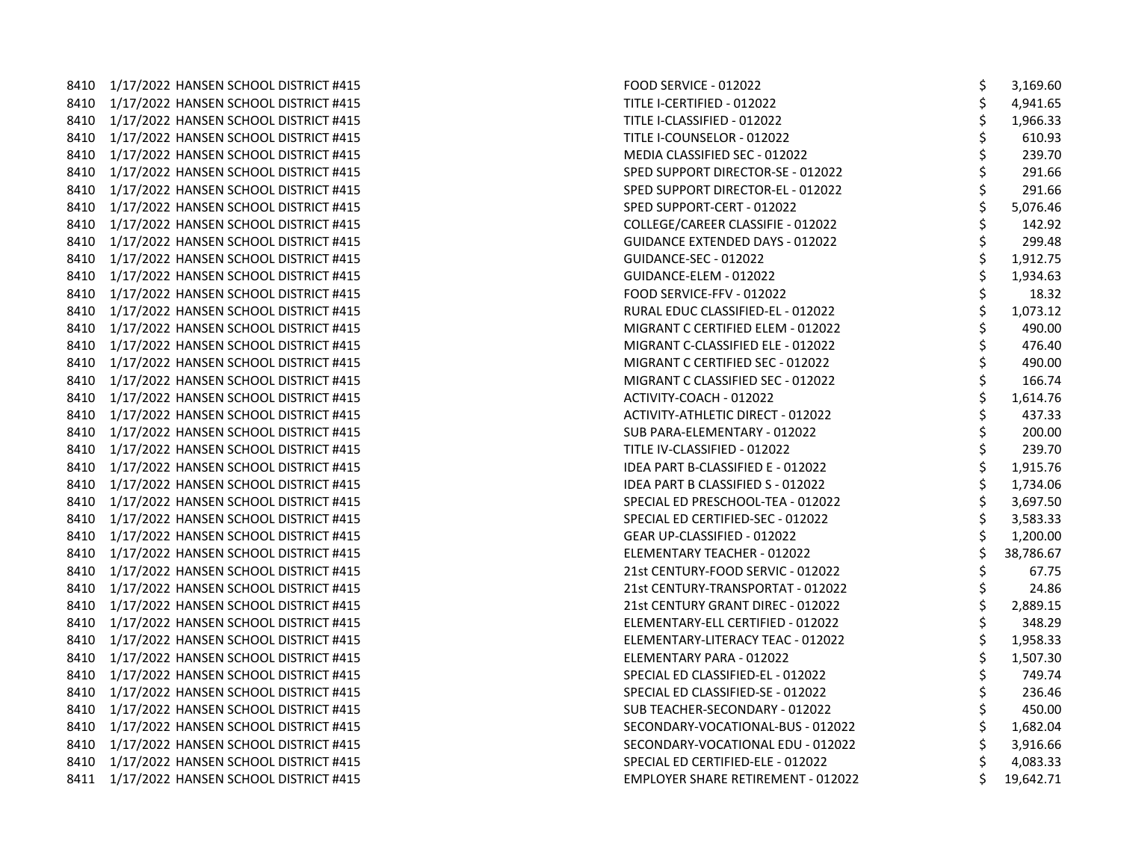8410 1/17/2022 HANSEN SCHOOL DISTRICT #415 8410 1/17/2022 HANSEN SCHOOL DISTRICT #415 8410 1/17/2022 HANSEN SCHOOL DISTRICT #415 8410 1/17/2022 HANSEN SCHOOL DISTRICT #415 8410 1/17/2022 HANSEN SCHOOL DISTRICT #415 8410 1/17/2022 HANSEN SCHOOL DISTRICT #415 8410 1/17/2022 HANSEN SCHOOL DISTRICT #415 8410 1/17/2022 HANSEN SCHOOL DISTRICT #415 8410 1/17/2022 HANSEN SCHOOL DISTRICT #415 8410 1/17/2022 HANSEN SCHOOL DISTRICT #415 8410 1/17/2022 HANSEN SCHOOL DISTRICT #415 8410 1/17/2022 HANSEN SCHOOL DISTRICT #415 8410 1/17/2022 HANSEN SCHOOL DISTRICT #415 8410 1/17/2022 HANSEN SCHOOL DISTRICT #415 8410 1/17/2022 HANSEN SCHOOL DISTRICT #415 8410 1/17/2022 HANSEN SCHOOL DISTRICT #415 8410 1/17/2022 HANSEN SCHOOL DISTRICT #415 8410 1/17/2022 HANSEN SCHOOL DISTRICT #415 8410 1/17/2022 HANSEN SCHOOL DISTRICT #415 8410 1/17/2022 HANSEN SCHOOL DISTRICT #415 8410 1/17/2022 HANSEN SCHOOL DISTRICT #415 8410 1/17/2022 HANSEN SCHOOL DISTRICT #415 8410 1/17/2022 HANSEN SCHOOL DISTRICT #415 8410 1/17/2022 HANSEN SCHOOL DISTRICT #415 8410 1/17/2022 HANSEN SCHOOL DISTRICT #415 8410 1/17/2022 HANSEN SCHOOL DISTRICT #415 8410 1/17/2022 HANSEN SCHOOL DISTRICT #415 8410 1/17/2022 HANSEN SCHOOL DISTRICT #415 8410 1/17/2022 HANSEN SCHOOL DISTRICT #415 8410 1/17/2022 HANSEN SCHOOL DISTRICT #415 8410 1/17/2022 HANSEN SCHOOL DISTRICT #415 8410 1/17/2022 HANSEN SCHOOL DISTRICT #415 8410 1/17/2022 HANSEN SCHOOL DISTRICT #415 8410 1/17/2022 HANSEN SCHOOL DISTRICT #415 8410 1/17/2022 HANSEN SCHOOL DISTRICT #415 8410 1/17/2022 HANSEN SCHOOL DISTRICT #415 8410 1/17/2022 HANSEN SCHOOL DISTRICT #415 8410 1/17/2022 HANSEN SCHOOL DISTRICT #415 8410 1/17/2022 HANSEN SCHOOL DISTRICT #415 8410 1/17/2022 HANSEN SCHOOL DISTRICT #415 8411 1/17/2022 HANSEN SCHOOL DISTRICT #415

| 3,169.60                                                                                                                                                                                           |
|----------------------------------------------------------------------------------------------------------------------------------------------------------------------------------------------------|
| 4,941.65                                                                                                                                                                                           |
| 1,966.33                                                                                                                                                                                           |
| 610.93                                                                                                                                                                                             |
| 239.70                                                                                                                                                                                             |
| 291.66                                                                                                                                                                                             |
| 291.66                                                                                                                                                                                             |
| 5,076.46                                                                                                                                                                                           |
| 142.92                                                                                                                                                                                             |
| 299.48                                                                                                                                                                                             |
| 1,912.75                                                                                                                                                                                           |
| 1,934.63                                                                                                                                                                                           |
| 18.32                                                                                                                                                                                              |
| 1,073.12                                                                                                                                                                                           |
| 490.00                                                                                                                                                                                             |
| 476.40                                                                                                                                                                                             |
| 490.00                                                                                                                                                                                             |
| 166.74                                                                                                                                                                                             |
| 1,614.76                                                                                                                                                                                           |
| 437.33                                                                                                                                                                                             |
| 200.00                                                                                                                                                                                             |
| 239.70                                                                                                                                                                                             |
| 1,915.76                                                                                                                                                                                           |
| 1,734.06                                                                                                                                                                                           |
| 3,697.50                                                                                                                                                                                           |
| 3,583.33                                                                                                                                                                                           |
| 1,200.00                                                                                                                                                                                           |
| 38,786.67                                                                                                                                                                                          |
| 67.75                                                                                                                                                                                              |
| 24.86                                                                                                                                                                                              |
| 2,889.15                                                                                                                                                                                           |
| 348.29                                                                                                                                                                                             |
| 1,958.33                                                                                                                                                                                           |
| 1,507.30                                                                                                                                                                                           |
| 749.74                                                                                                                                                                                             |
| 236.46                                                                                                                                                                                             |
| 450.00                                                                                                                                                                                             |
| 1,682.04                                                                                                                                                                                           |
| 3,916.66                                                                                                                                                                                           |
| 4,083.33                                                                                                                                                                                           |
| 19,642.71                                                                                                                                                                                          |
| \$<br>\$<br>\$<br>\$<br>\$<br>\$\$\$<br>\$<br>\$<br>\$<br>\$\$\$<br>\$<br>\$<br>\$<br>\$\$\$<br>\$<br>\$<br>\$<br>\$\$\$<br>\$<br>\$<br>\$<br>\$\$\$<br>\$<br>\$<br>\$<br>\$\$\$<br>\$<br>\$<br>\$ |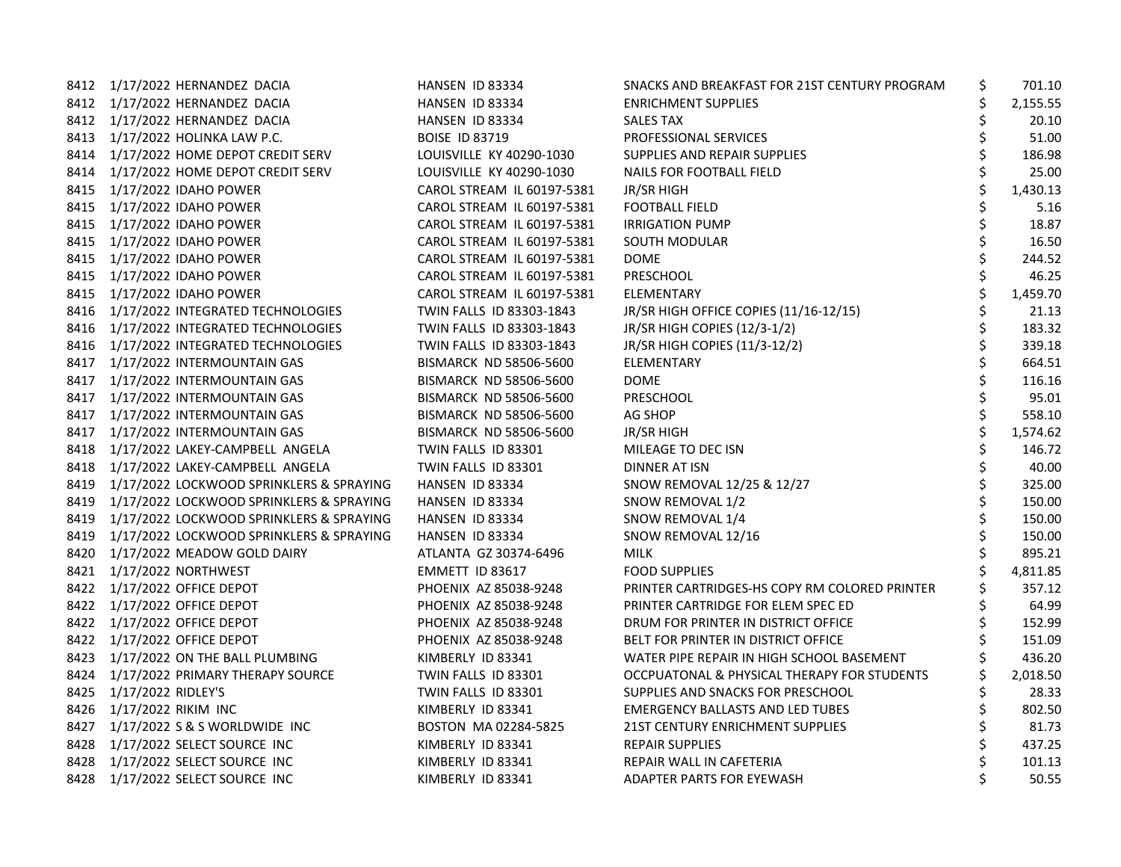| 8412 1/17/2022 HERNANDEZ DACIA                | HANSEN ID 83334               | SNACKS AND BREAKFAST FOR 21ST CENTURY PROGRAM | \$ | 701.10   |
|-----------------------------------------------|-------------------------------|-----------------------------------------------|----|----------|
| 8412 1/17/2022 HERNANDEZ DACIA                | HANSEN ID 83334               | <b>ENRICHMENT SUPPLIES</b>                    | \$ | 2,155.55 |
| 8412 1/17/2022 HERNANDEZ DACIA                | HANSEN ID 83334               | <b>SALES TAX</b>                              | \$ | 20.10    |
| 8413 1/17/2022 HOLINKA LAW P.C.               | <b>BOISE ID 83719</b>         | PROFESSIONAL SERVICES                         | \$ | 51.00    |
| 8414 1/17/2022 HOME DEPOT CREDIT SERV         | LOUISVILLE KY 40290-1030      | SUPPLIES AND REPAIR SUPPLIES                  | \$ | 186.98   |
| 8414 1/17/2022 HOME DEPOT CREDIT SERV         | LOUISVILLE KY 40290-1030      | <b>NAILS FOR FOOTBALL FIELD</b>               | \$ | 25.00    |
| 8415 1/17/2022 IDAHO POWER                    | CAROL STREAM IL 60197-5381    | JR/SR HIGH                                    |    | 1,430.13 |
| 8415 1/17/2022 IDAHO POWER                    | CAROL STREAM IL 60197-5381    | <b>FOOTBALL FIELD</b>                         |    | 5.16     |
| 8415 1/17/2022 IDAHO POWER                    | CAROL STREAM IL 60197-5381    | <b>IRRIGATION PUMP</b>                        | \$ | 18.87    |
| 8415 1/17/2022 IDAHO POWER                    | CAROL STREAM IL 60197-5381    | SOUTH MODULAR                                 | \$ | 16.50    |
| 8415 1/17/2022 IDAHO POWER                    | CAROL STREAM IL 60197-5381    | <b>DOME</b>                                   | \$ | 244.52   |
| 8415 1/17/2022 IDAHO POWER                    | CAROL STREAM IL 60197-5381    | PRESCHOOL                                     | \$ | 46.25    |
| 8415 1/17/2022 IDAHO POWER                    | CAROL STREAM IL 60197-5381    | ELEMENTARY                                    |    | 1,459.70 |
| 8416 1/17/2022 INTEGRATED TECHNOLOGIES        | TWIN FALLS ID 83303-1843      | JR/SR HIGH OFFICE COPIES (11/16-12/15)        | \$ | 21.13    |
| 8416 1/17/2022 INTEGRATED TECHNOLOGIES        | TWIN FALLS ID 83303-1843      | JR/SR HIGH COPIES (12/3-1/2)                  | \$ | 183.32   |
| 8416 1/17/2022 INTEGRATED TECHNOLOGIES        | TWIN FALLS ID 83303-1843      | JR/SR HIGH COPIES (11/3-12/2)                 | \$ | 339.18   |
| 8417 1/17/2022 INTERMOUNTAIN GAS              | <b>BISMARCK ND 58506-5600</b> | ELEMENTARY                                    | \$ | 664.51   |
| 8417 1/17/2022 INTERMOUNTAIN GAS              | BISMARCK ND 58506-5600        | <b>DOME</b>                                   |    | 116.16   |
| 8417 1/17/2022 INTERMOUNTAIN GAS              | BISMARCK ND 58506-5600        | PRESCHOOL                                     |    | 95.01    |
| 8417 1/17/2022 INTERMOUNTAIN GAS              | <b>BISMARCK ND 58506-5600</b> | AG SHOP                                       | \$ | 558.10   |
| 8417 1/17/2022 INTERMOUNTAIN GAS              | BISMARCK ND 58506-5600        | JR/SR HIGH                                    | \$ | 1,574.62 |
| 8418 1/17/2022 LAKEY-CAMPBELL ANGELA          | TWIN FALLS ID 83301           | MILEAGE TO DEC ISN                            | \$ | 146.72   |
| 8418 1/17/2022 LAKEY-CAMPBELL ANGELA          | TWIN FALLS ID 83301           | DINNER AT ISN                                 | \$ | 40.00    |
| 8419 1/17/2022 LOCKWOOD SPRINKLERS & SPRAYING | HANSEN ID 83334               | SNOW REMOVAL 12/25 & 12/27                    | \$ | 325.00   |
| 8419 1/17/2022 LOCKWOOD SPRINKLERS & SPRAYING | HANSEN ID 83334               | SNOW REMOVAL 1/2                              | \$ | 150.00   |
| 8419 1/17/2022 LOCKWOOD SPRINKLERS & SPRAYING | HANSEN ID 83334               | SNOW REMOVAL 1/4                              | \$ | 150.00   |
| 8419 1/17/2022 LOCKWOOD SPRINKLERS & SPRAYING | HANSEN ID 83334               | SNOW REMOVAL 12/16                            | \$ | 150.00   |
| 8420 1/17/2022 MEADOW GOLD DAIRY              | ATLANTA GZ 30374-6496         | <b>MILK</b>                                   | Ś. | 895.21   |
| 8421 1/17/2022 NORTHWEST                      | EMMETT ID 83617               | <b>FOOD SUPPLIES</b>                          |    | 4,811.85 |
| 8422 1/17/2022 OFFICE DEPOT                   | PHOENIX AZ 85038-9248         | PRINTER CARTRIDGES-HS COPY RM COLORED PRINTER |    | 357.12   |
| 8422 1/17/2022 OFFICE DEPOT                   | PHOENIX AZ 85038-9248         | PRINTER CARTRIDGE FOR ELEM SPEC ED            | \$ | 64.99    |
| 8422 1/17/2022 OFFICE DEPOT                   | PHOENIX AZ 85038-9248         | DRUM FOR PRINTER IN DISTRICT OFFICE           | \$ | 152.99   |
| 8422 1/17/2022 OFFICE DEPOT                   | PHOENIX AZ 85038-9248         | BELT FOR PRINTER IN DISTRICT OFFICE           | \$ | 151.09   |
| 8423 1/17/2022 ON THE BALL PLUMBING           | KIMBERLY ID 83341             | WATER PIPE REPAIR IN HIGH SCHOOL BASEMENT     | \$ | 436.20   |
| 8424 1/17/2022 PRIMARY THERAPY SOURCE         | TWIN FALLS ID 83301           | OCCPUATONAL & PHYSICAL THERAPY FOR STUDENTS   |    | 2,018.50 |
| 8425 1/17/2022 RIDLEY'S                       | TWIN FALLS ID 83301           | SUPPLIES AND SNACKS FOR PRESCHOOL             |    | 28.33    |
| 8426 1/17/2022 RIKIM INC                      | KIMBERLY ID 83341             | <b>EMERGENCY BALLASTS AND LED TUBES</b>       | \$ | 802.50   |
| 8427 1/17/2022 S & S WORLDWIDE INC            | BOSTON MA 02284-5825          | 21ST CENTURY ENRICHMENT SUPPLIES              | \$ | 81.73    |
| 8428 1/17/2022 SELECT SOURCE INC              | KIMBERLY ID 83341             | <b>REPAIR SUPPLIES</b>                        | \$ | 437.25   |
| 8428 1/17/2022 SELECT SOURCE INC              | KIMBERLY ID 83341             | REPAIR WALL IN CAFETERIA                      | \$ | 101.13   |
| 8428 1/17/2022 SELECT SOURCE INC              | KIMBERLY ID 83341             | <b>ADAPTER PARTS FOR EYEWASH</b>              | \$ | 50.55    |